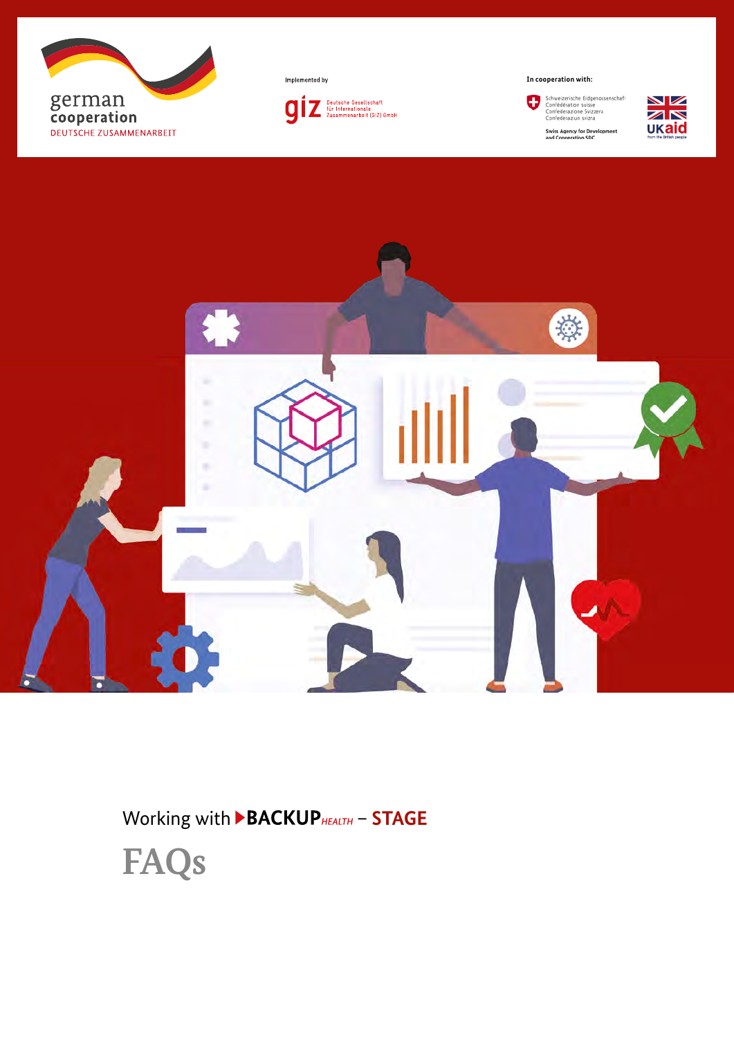





**In cooperation with:**







Working with  $\blacktriangleright$  **BACKUP** HEALTH - **STAGE** 

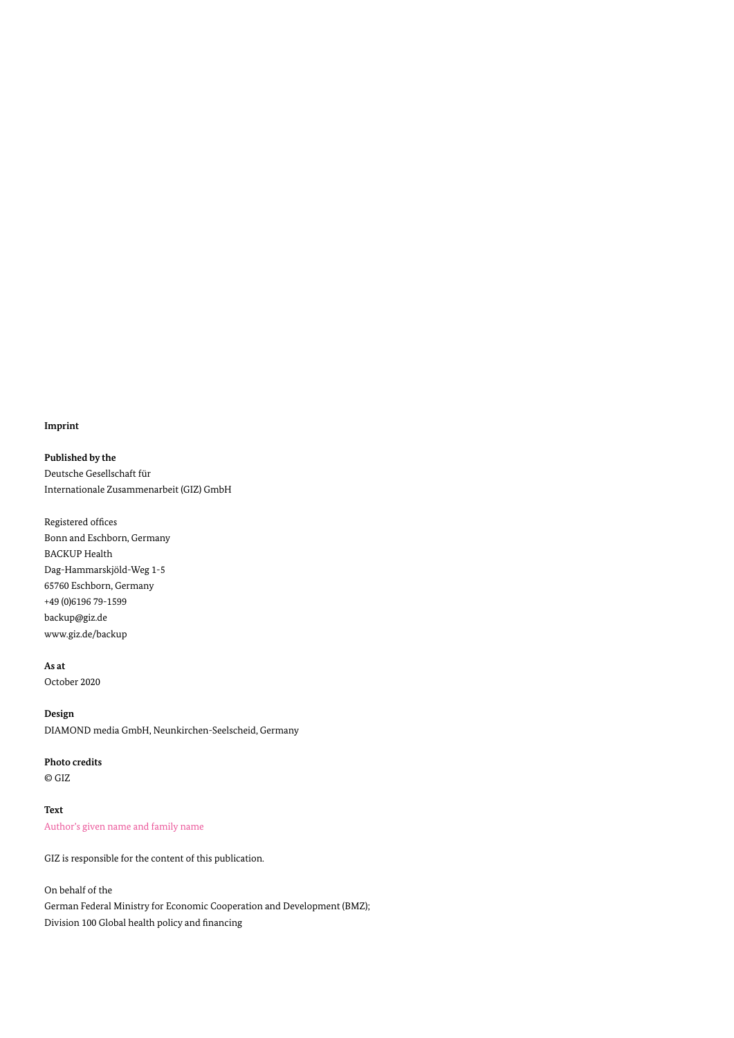#### **Imprint**

**Published by the** Deutsche Gesellschaft für Internationale Zusammenarbeit (GIZ) GmbH

Registered offices Bonn and Eschborn, Germany BACKUP Health Dag-Hammarskjöld-Weg 1-5 65760 Eschborn, Germany +49 (0)6196 79-1599 backup@giz.de www.giz.de/backup

#### **As at**

October 2020

### **Design**

DIAMOND media GmbH, Neunkirchen-Seelscheid, Germany

### **Photo credits**

© GIZ

## **Text** Author's given name and family name

GIZ is responsible for the content of this publication.

## On behalf of the

German Federal Ministry for Economic Cooperation and Development (BMZ); Division 100 Global health policy and financing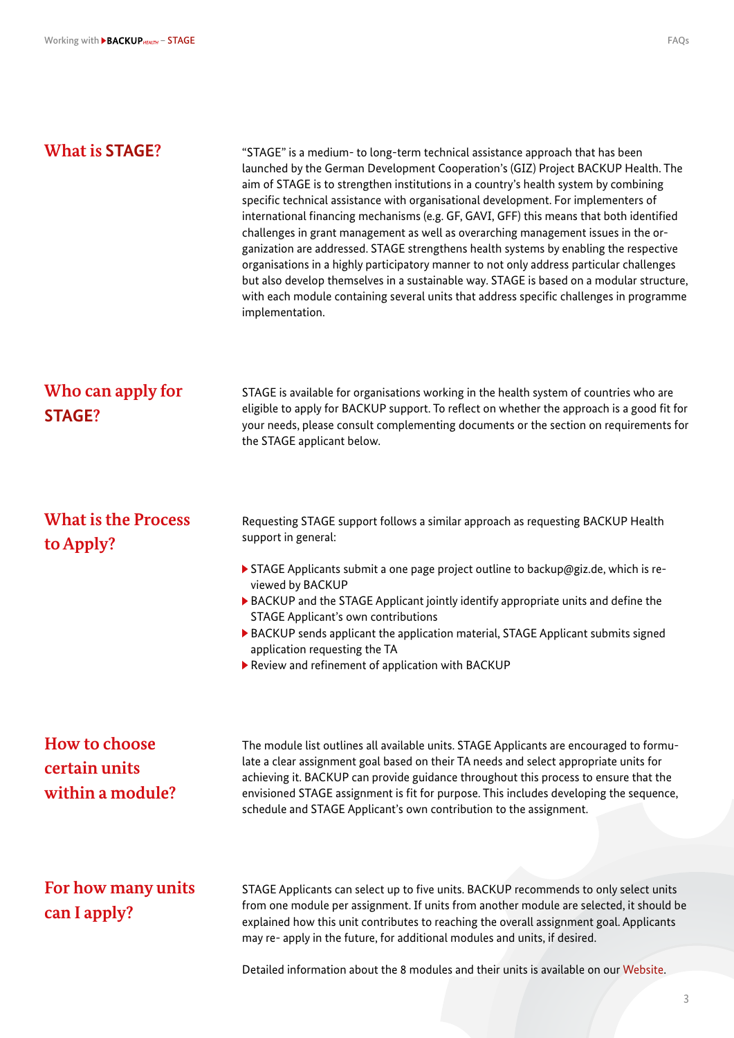| <b>What is STAGE?</b>                              | "STAGE" is a medium- to long-term technical assistance approach that has been<br>launched by the German Development Cooperation's (GIZ) Project BACKUP Health. The<br>aim of STAGE is to strengthen institutions in a country's health system by combining<br>specific technical assistance with organisational development. For implementers of<br>international financing mechanisms (e.g. GF, GAVI, GFF) this means that both identified<br>challenges in grant management as well as overarching management issues in the or-<br>ganization are addressed. STAGE strengthens health systems by enabling the respective<br>organisations in a highly participatory manner to not only address particular challenges<br>but also develop themselves in a sustainable way. STAGE is based on a modular structure,<br>with each module containing several units that address specific challenges in programme<br>implementation. |
|----------------------------------------------------|----------------------------------------------------------------------------------------------------------------------------------------------------------------------------------------------------------------------------------------------------------------------------------------------------------------------------------------------------------------------------------------------------------------------------------------------------------------------------------------------------------------------------------------------------------------------------------------------------------------------------------------------------------------------------------------------------------------------------------------------------------------------------------------------------------------------------------------------------------------------------------------------------------------------------------|
| Who can apply for<br><b>STAGE?</b>                 | STAGE is available for organisations working in the health system of countries who are<br>eligible to apply for BACKUP support. To reflect on whether the approach is a good fit for<br>your needs, please consult complementing documents or the section on requirements for<br>the STAGE applicant below.                                                                                                                                                                                                                                                                                                                                                                                                                                                                                                                                                                                                                      |
| <b>What is the Process</b><br>to Apply?            | Requesting STAGE support follows a similar approach as requesting BACKUP Health<br>support in general:<br>> STAGE Applicants submit a one page project outline to backup@giz.de, which is re-<br>viewed by BACKUP<br>▶ BACKUP and the STAGE Applicant jointly identify appropriate units and define the<br><b>STAGE Applicant's own contributions</b><br>BACKUP sends applicant the application material, STAGE Applicant submits signed<br>application requesting the TA<br>Review and refinement of application with BACKUP                                                                                                                                                                                                                                                                                                                                                                                                    |
| How to choose<br>certain units<br>within a module? | The module list outlines all available units. STAGE Applicants are encouraged to formu-<br>late a clear assignment goal based on their TA needs and select appropriate units for<br>achieving it. BACKUP can provide guidance throughout this process to ensure that the<br>envisioned STAGE assignment is fit for purpose. This includes developing the sequence,<br>schedule and STAGE Applicant's own contribution to the assignment.                                                                                                                                                                                                                                                                                                                                                                                                                                                                                         |
| For how many units<br>can I apply?                 | STAGE Applicants can select up to five units. BACKUP recommends to only select units<br>from one module per assignment. If units from another module are selected, it should be<br>explained how this unit contributes to reaching the overall assignment goal. Applicants<br>may re- apply in the future, for additional modules and units, if desired.<br>Detailed information about the 8 modules and their units is available on our Website.                                                                                                                                                                                                                                                                                                                                                                                                                                                                                |

3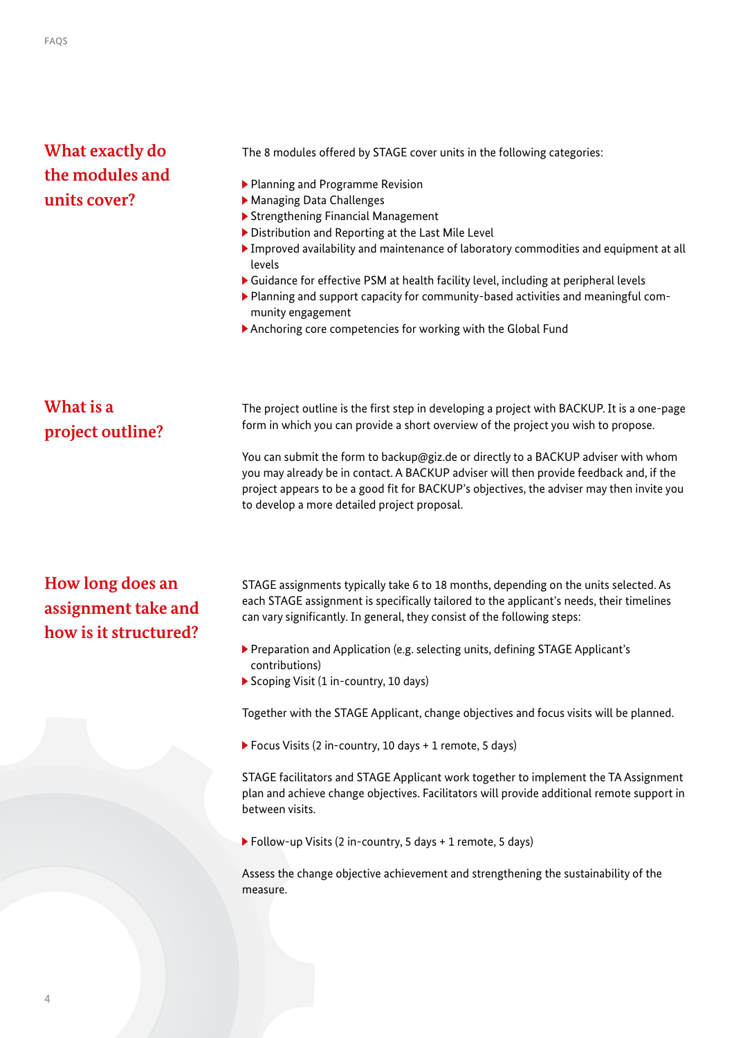# **What exactly do the modules and units cover?**

The 8 modules offered by STAGE cover units in the following categories:

- Planning and Programme Revision
- Managing Data Challenges
- Strengthening Financial Management
- ▶ Distribution and Reporting at the Last Mile Level
- Improved availability and maintenance of laboratory commodities and equipment at all levels
- Guidance for effective PSM at health facility level, including at peripheral levels
- Planning and support capacity for community-based activities and meaningful community engagement
- Anchoring core competencies for working with the Global Fund

## **What is a project outline?**

The project outline is the first step in developing a project with BACKUP. It is a one-page form in which you can provide a short overview of the project you wish to propose.

You can submit the form to [backup@giz.de](mailto:backup%40giz.de?subject=) or directly to a BACKUP adviser with whom you may already be in contact. A BACKUP adviser will then provide feedback and, if the project appears to be a good fit for BACKUP's objectives, the adviser may then invite you to develop a more detailed project proposal.

# **How long does an assignment take and how is it structured?**

STAGE assignments typically take 6 to 18 months, depending on the units selected. As each STAGE assignment is specifically tailored to the applicant's needs, their timelines can vary significantly. In general, they consist of the following steps:

- Preparation and Application (e.g. selecting units, defining STAGE Applicant's contributions)
- Scoping Visit (1 in-country, 10 days)

Together with the STAGE Applicant, change objectives and focus visits will be planned.

Focus Visits (2 in-country, 10 days + 1 remote, 5 days)

STAGE facilitators and STAGE Applicant work together to implement the TA Assignment plan and achieve change objectives. Facilitators will provide additional remote support in between visits.

Follow-up Visits (2 in-country, 5 days + 1 remote, 5 days)

Assess the change objective achievement and strengthening the sustainability of the measure.